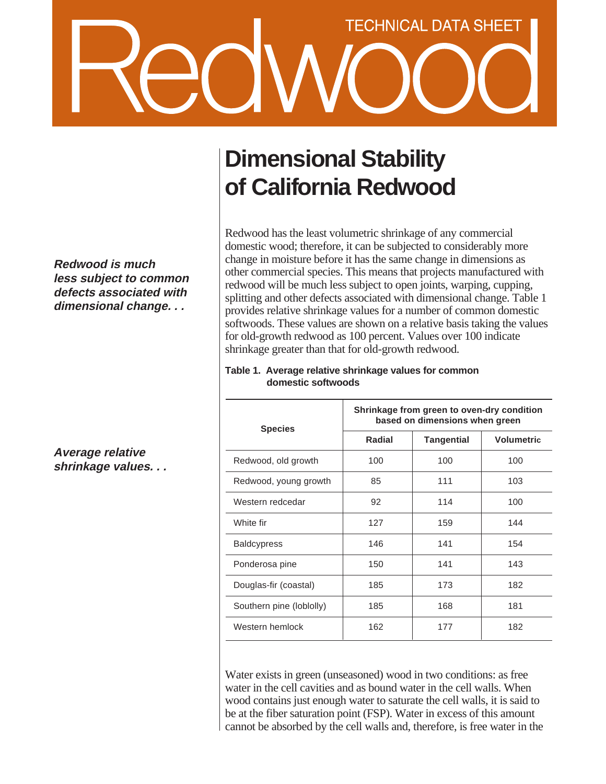# **TECHNICAL DATA SHEET**

**Redwood is much less subject to common defects associated with dimensional change. . .**

**Average relative shrinkage values. . .**

# **Dimensional Stability of California Redwood**

Redwood has the least volumetric shrinkage of any commercial domestic wood; therefore, it can be subjected to considerably more change in moisture before it has the same change in dimensions as other commercial species. This means that projects manufactured with redwood will be much less subject to open joints, warping, cupping, splitting and other defects associated with dimensional change. Table 1 provides relative shrinkage values for a number of common domestic softwoods. These values are shown on a relative basis taking the values for old-growth redwood as 100 percent. Values over 100 indicate shrinkage greater than that for old-growth redwood.

| <b>Species</b>           | Shrinkage from green to oven-dry condition<br>based on dimensions when green |                   |                   |
|--------------------------|------------------------------------------------------------------------------|-------------------|-------------------|
|                          | Radial                                                                       | <b>Tangential</b> | <b>Volumetric</b> |
| Redwood, old growth      | 100                                                                          | 100               | 100               |
| Redwood, young growth    | 85                                                                           | 111               | 103               |
| Western redcedar         | 92                                                                           | 114               | 100               |
| White fir                | 127                                                                          | 159               | 144               |
| <b>Baldcypress</b>       | 146                                                                          | 141               | 154               |
| Ponderosa pine           | 150                                                                          | 141               | 143               |
| Douglas-fir (coastal)    | 185                                                                          | 173               | 182               |
| Southern pine (loblolly) | 185                                                                          | 168               | 181               |
| Western hemlock          | 162                                                                          | 177               | 182               |

### **Table 1. Average relative shrinkage values for common domestic softwoods**

Water exists in green (unseasoned) wood in two conditions: as free water in the cell cavities and as bound water in the cell walls. When wood contains just enough water to saturate the cell walls, it is said to be at the fiber saturation point (FSP). Water in excess of this amount cannot be absorbed by the cell walls and, therefore, is free water in the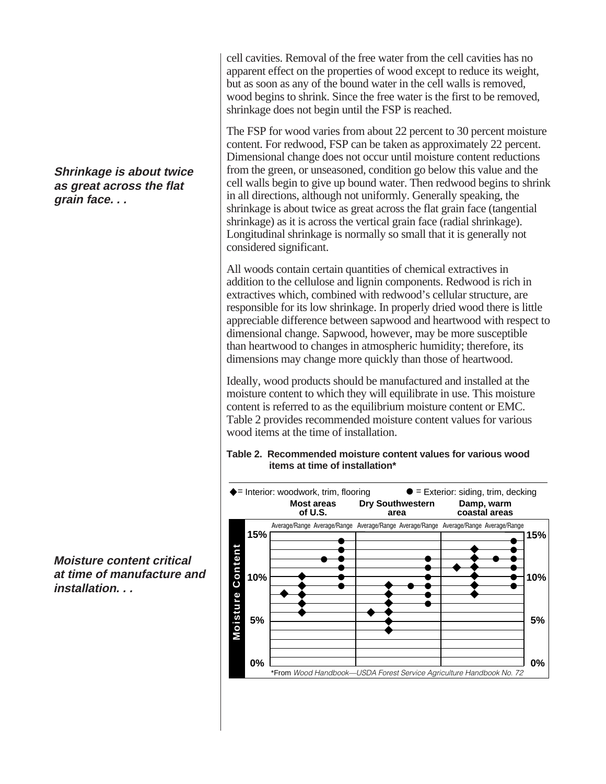## **Shrinkage is about twice as great across the flat grain face. . .**

**Moisture content critical at time of manufacture and installation. . .**

cell cavities. Removal of the free water from the cell cavities has no apparent effect on the properties of wood except to reduce its weight, but as soon as any of the bound water in the cell walls is removed, wood begins to shrink. Since the free water is the first to be removed, shrinkage does not begin until the FSP is reached.

The FSP for wood varies from about 22 percent to 30 percent moisture content. For redwood, FSP can be taken as approximately 22 percent. Dimensional change does not occur until moisture content reductions from the green, or unseasoned, condition go below this value and the cell walls begin to give up bound water. Then redwood begins to shrink in all directions, although not uniformly. Generally speaking, the shrinkage is about twice as great across the flat grain face (tangential shrinkage) as it is across the vertical grain face (radial shrinkage). Longitudinal shrinkage is normally so small that it is generally not considered significant.

All woods contain certain quantities of chemical extractives in addition to the cellulose and lignin components. Redwood is rich in extractives which, combined with redwood's cellular structure, are responsible for its low shrinkage. In properly dried wood there is little appreciable difference between sapwood and heartwood with respect to dimensional change. Sapwood, however, may be more susceptible than heartwood to changes in atmospheric humidity; therefore, its dimensions may change more quickly than those of heartwood.

Ideally, wood products should be manufactured and installed at the moisture content to which they will equilibrate in use. This moisture content is referred to as the equilibrium moisture content or EMC. Table 2 provides recommended moisture content values for various wood items at the time of installation.

### **Table 2. Recommended moisture content values for various wood items at time of installation\***

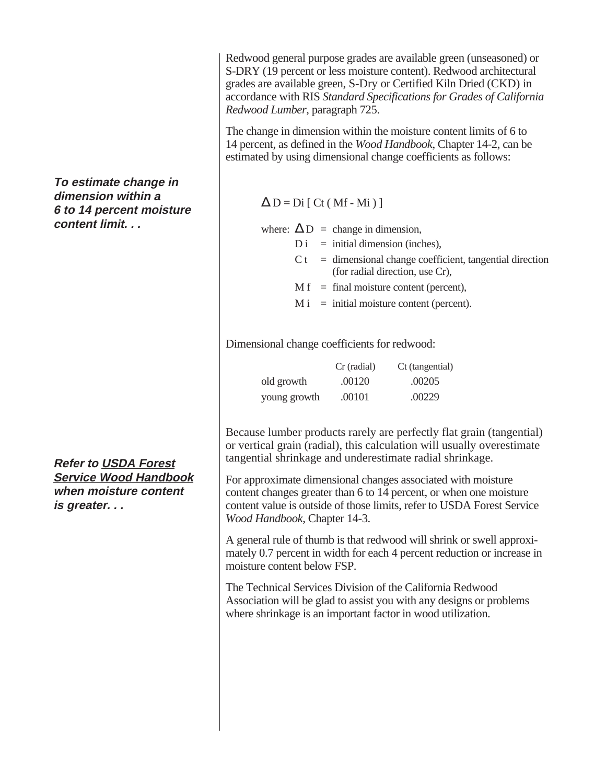Redwood general purpose grades are available green (unseasoned) or S-DRY (19 percent or less moisture content). Redwood architectural grades are available green, S-Dry or Certified Kiln Dried (CKD) in accordance with RIS *Standard Specifications for Grades of California Redwood Lumber*, paragraph 725.

The change in dimension within the moisture content limits of 6 to 14 percent, as defined in the *Wood Handbook*, Chapter 14-2, can be estimated by using dimensional change coefficients as follows:

 $\Delta D = Di$  [ Ct ( Mf - Mi ) ]

where:  $\Delta D$  = change in dimension,

 $D_i$  = initial dimension (inches),

- $C t =$  dimensional change coefficient, tangential direction (for radial direction, use Cr),
- $M f = \text{final moisture content (percent)}$ ,
- $M i =$  initial moisture content (percent).

Dimensional change coefficients for redwood:

|              | Cr (radial) | Ct (tangential) |
|--------------|-------------|-----------------|
| old growth   | .00120      | .00205          |
| young growth | .00101      | .00229          |

Because lumber products rarely are perfectly flat grain (tangential) or vertical grain (radial), this calculation will usually overestimate tangential shrinkage and underestimate radial shrinkage.

For approximate dimensional changes associated with moisture content changes greater than 6 to 14 percent, or when one moisture content value is outside of those limits, refer to USDA Forest Service *Wood Handbook*, Chapter 14-3.

A general rule of thumb is that redwood will shrink or swell approximately 0.7 percent in width for each 4 percent reduction or increase in moisture content below FSP.

The Technical Services Division of the California Redwood Association will be glad to assist you with any designs or problems where shrinkage is an important factor in wood utilization.

**To estimate change in dimension within a 6 to 14 percent moisture content limit. . .**

**Refer to USDA Forest Service Wood Handbook when moisture content is greater. . .**